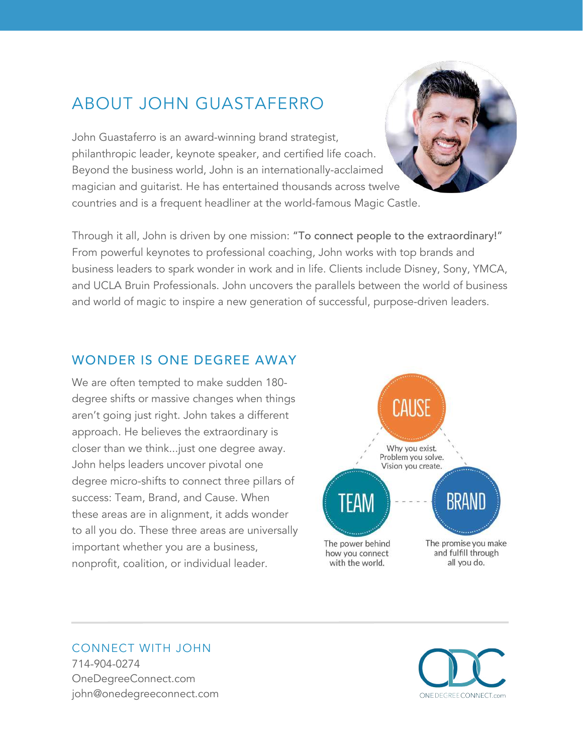# ABOUT JOHN GUASTAFERRO

John Guastaferro is an award-winning brand strategist, philanthropic leader, keynote speaker, and certified life coach. Beyond the business world, John is an internationally-acclaimed magician and guitarist. He has entertained thousands across twelve countries and is a frequent headliner at the world-famous Magic Castle.

Through it all, John is driven by one mission: "To connect people to the extraordinary!" From powerful keynotes to professional coaching, John works with top brands and business leaders to spark wonder in work and in life. Clients include Disney, Sony, YMCA, and UCLA Bruin Professionals. John uncovers the parallels between the world of business and world of magic to inspire a new generation of successful, purpose-driven leaders.

## WONDER IS ONE DEGREE AWAY

We are often tempted to make sudden 180 degree shifts or massive changes when things aren't going just right. John takes a different approach. He believes the extraordinary is closer than we think...just one degree away. John helps leaders uncover pivotal one degree micro-shifts to connect three pillars of success: Team, Brand, and Cause. When these areas are in alignment, it adds wonder to all you do. These three areas are universally important whether you are a business, nonprofit, coalition, or individual leader.



#### CONNECT WITH JOHN 714-904-0274 OneDegreeConnect.com john@onedegreeconnect.com



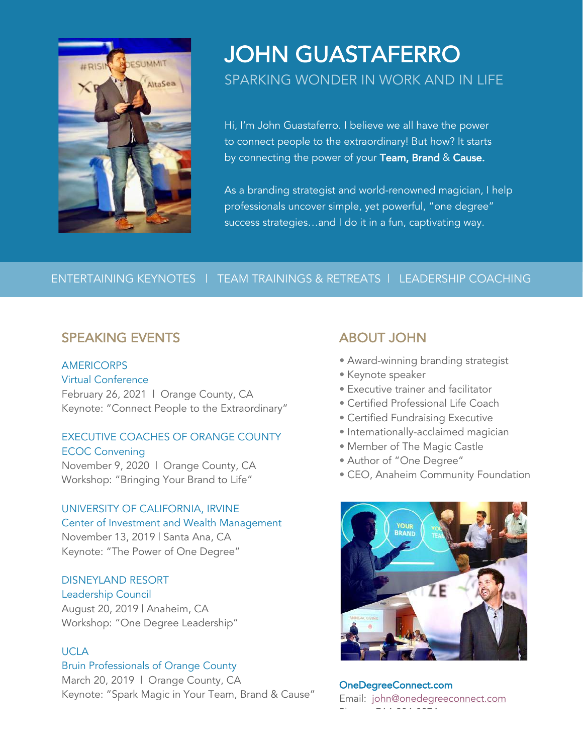

# JOHN GUASTAFERRO SPARKING WONDER IN WORK AND IN LIFE

Hi, I'm John Guastaferro. I believe we all have the power to connect people to the extraordinary! But how? It starts by connecting the power of your Team, Brand & Cause.

As a branding strategist and world-renowned magician, I help professionals uncover simple, yet powerful, "one degree" success strategies…and I do it in a fun, captivating way.

### ENTERTAINING KEYNOTES | TEAM TRAININGS & RETREATS | LEADERSHIP COACHING

## SPEAKING EVENTS

#### AMERICORPS

Virtual Conference

February 26, 2021 | Orange County, CA Keynote: "Connect People to the Extraordinary"

#### EXECUTIVE COACHES OF ORANGE COUNTY ECOC Convening

November 9, 2020 | Orange County, CA Workshop: "Bringing Your Brand to Life"

#### UNIVERSITY OF CALIFORNIA, IRVINE Center of Investment and Wealth Management

November 13, 2019 | Santa Ana, CA Keynote: "The Power of One Degree"

#### DISNEYLAND RESORT Leadership Council

August 20, 2019 | Anaheim, CA Workshop: "One Degree Leadership"

#### UCLA

#### Bruin Professionals of Orange County

March 20, 2019 | Orange County, CA Keynote: "Spark Magic in Your Team, Brand & Cause"

# ABOUT JOHN

- Award-winning branding strategist
- Keynote speaker
- Executive trainer and facilitator
- Certified Professional Life Coach
- Certified Fundraising Executive
- Internationally-acclaimed magician
- Member of The Magic Castle
- Author of "One Degree"
- CEO, Anaheim Community Foundation



OneDegreeConnect.com Email: john@onedegreeconnect.com Phone: 714-904-0074<br>-